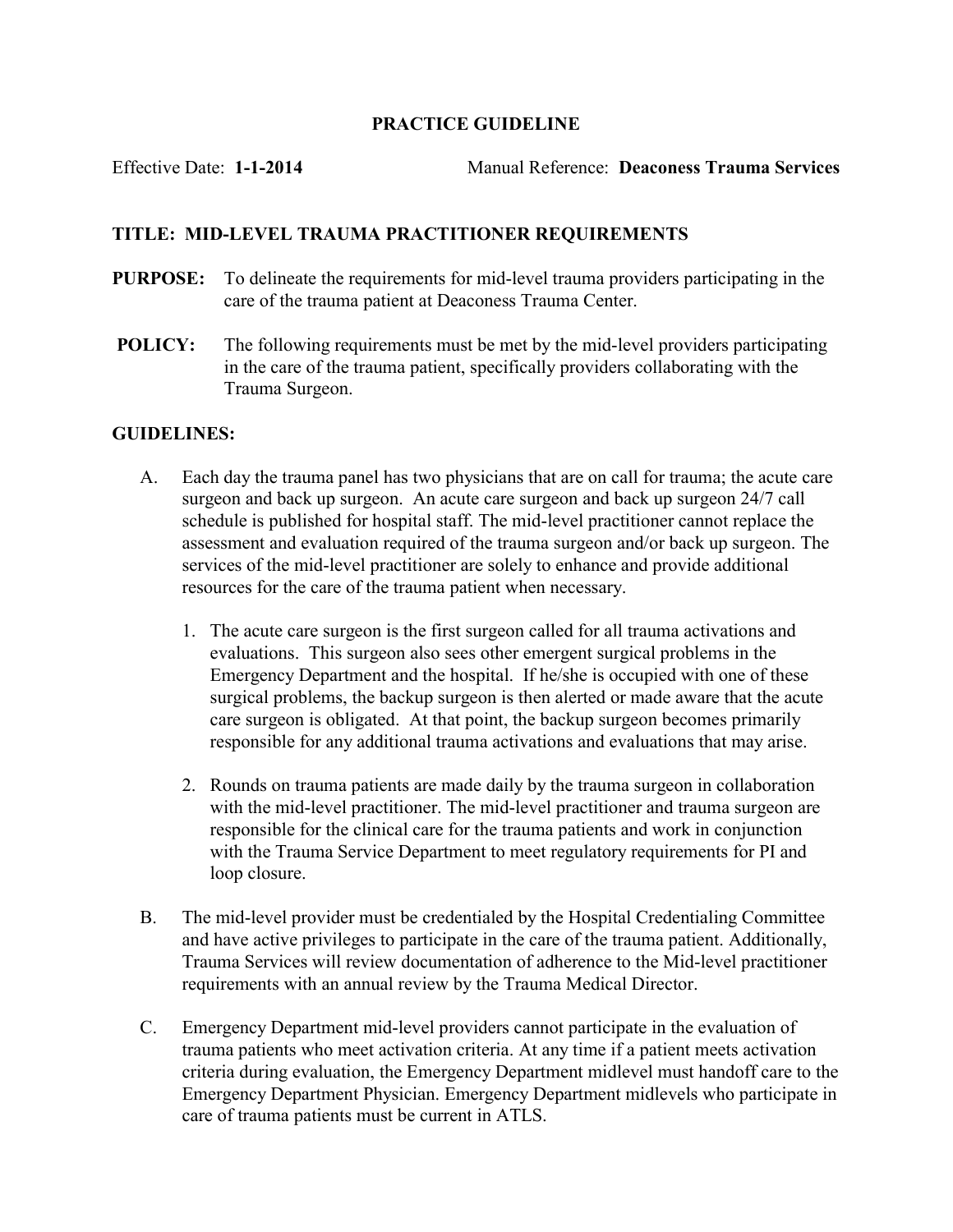## PRACTICE GUIDELINE

Effective Date: 1-1-2014 Manual Reference: Deaconess Trauma Services

## TITLE: MID-LEVEL TRAUMA PRACTITIONER REQUIREMENTS

- PURPOSE: To delineate the requirements for mid-level trauma providers participating in the care of the trauma patient at Deaconess Trauma Center.
- POLICY: The following requirements must be met by the mid-level providers participating in the care of the trauma patient, specifically providers collaborating with the Trauma Surgeon.

## GUIDELINES:

- A. Each day the trauma panel has two physicians that are on call for trauma; the acute care surgeon and back up surgeon. An acute care surgeon and back up surgeon 24/7 call schedule is published for hospital staff. The mid-level practitioner cannot replace the assessment and evaluation required of the trauma surgeon and/or back up surgeon. The services of the mid-level practitioner are solely to enhance and provide additional resources for the care of the trauma patient when necessary.
	- 1. The acute care surgeon is the first surgeon called for all trauma activations and evaluations. This surgeon also sees other emergent surgical problems in the Emergency Department and the hospital. If he/she is occupied with one of these surgical problems, the backup surgeon is then alerted or made aware that the acute care surgeon is obligated. At that point, the backup surgeon becomes primarily responsible for any additional trauma activations and evaluations that may arise.
	- 2. Rounds on trauma patients are made daily by the trauma surgeon in collaboration with the mid-level practitioner. The mid-level practitioner and trauma surgeon are responsible for the clinical care for the trauma patients and work in conjunction with the Trauma Service Department to meet regulatory requirements for PI and loop closure.
- B. The mid-level provider must be credentialed by the Hospital Credentialing Committee and have active privileges to participate in the care of the trauma patient. Additionally, Trauma Services will review documentation of adherence to the Mid-level practitioner requirements with an annual review by the Trauma Medical Director.
- C. Emergency Department mid-level providers cannot participate in the evaluation of trauma patients who meet activation criteria. At any time if a patient meets activation criteria during evaluation, the Emergency Department midlevel must handoff care to the Emergency Department Physician. Emergency Department midlevels who participate in care of trauma patients must be current in ATLS.